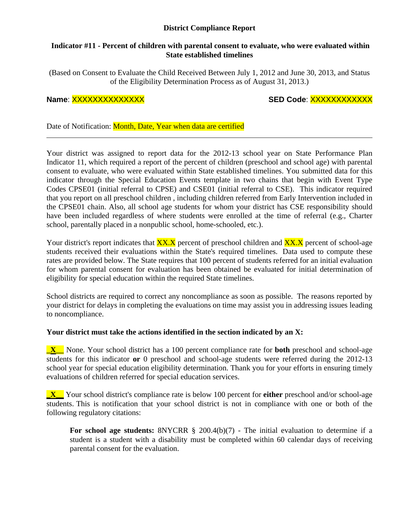# **District Compliance Report**

#### **Indicator #11 - Percent of children with parental consent to evaluate, who were evaluated within State established timelines**

(Based on Consent to Evaluate the Child Received Between July 1, 2012 and June 30, 2013, and Status of the Eligibility Determination Process as of August 31, 2013.)

# **Name**: XXXXXXXXXXXXXX **SED Code**: XXXXXXXXXXXX

Date of Notification: Month, Date, Year when data are certified

Your district was assigned to report data for the 2012-13 school year on State Performance Plan Indicator 11, which required a report of the percent of children (preschool and school age) with parental consent to evaluate, who were evaluated within State established timelines. You submitted data for this indicator through the Special Education Events template in two chains that begin with Event Type Codes CPSE01 (initial referral to CPSE) and CSE01 (initial referral to CSE). This indicator required that you report on all preschool children , including children referred from Early Intervention included in the CPSE01 chain. Also, all school age students for whom your district has CSE responsibility should have been included regardless of where students were enrolled at the time of referral (e.g., Charter school, parentally placed in a nonpublic school, home-schooled, etc.).

Your district's report indicates that  $\frac{XX.X}{XX}$  percent of preschool children and  $\frac{XX.X}{XX}$  percent of school-age students received their evaluations within the State's required timelines. Data used to compute these rates are provided below. The State requires that 100 percent of students referred for an initial evaluation for whom parental consent for evaluation has been obtained be evaluated for initial determination of eligibility for special education within the required State timelines.

School districts are required to correct any noncompliance as soon as possible. The reasons reported by your district for delays in completing the evaluations on time may assist you in addressing issues leading to noncompliance.

# **Your district must take the actions identified in the section indicated by an X:**

**\_X\_\_** None. Your school district has a 100 percent compliance rate for **both** preschool and school-age students for this indicator **or** 0 preschool and school-age students were referred during the 2012-13 school year for special education eligibility determination. Thank you for your efforts in ensuring timely evaluations of children referred for special education services.

**\_X\_\_** Your school district's compliance rate is below 100 percent for **either** preschool and/or school-age students. This is notification that your school district is not in compliance with one or both of the following regulatory citations:

**For school age students:** 8NYCRR § 200.4(b)(7) - The initial evaluation to determine if a student is a student with a disability must be completed within 60 calendar days of receiving parental consent for the evaluation.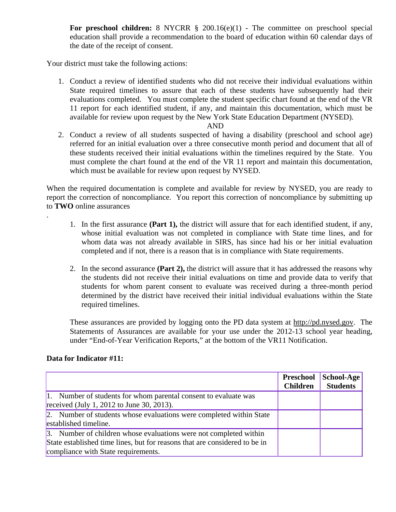**For preschool children:** 8 NYCRR § 200.16(e)(1) - The committee on preschool special education shall provide a recommendation to the board of education within 60 calendar days of the date of the receipt of consent.

Your district must take the following actions:

1. Conduct a review of identified students who did not receive their individual evaluations within State required timelines to assure that each of these students have subsequently had their evaluations completed. You must complete the student specific chart found at the end of the VR 11 report for each identified student, if any, and maintain this documentation, which must be available for review upon request by the New York State Education Department (NYSED).

#### AND

2. Conduct a review of all students suspected of having a disability (preschool and school age) referred for an initial evaluation over a three consecutive month period and document that all of these students received their initial evaluations within the timelines required by the State. You must complete the chart found at the end of the VR 11 report and maintain this documentation, which must be available for review upon request by NYSED.

When the required documentation is complete and available for review by NYSED, you are ready to report the correction of noncompliance. You report this correction of noncompliance by submitting up to **TWO** online assurances

- 1. In the first assurance **(Part 1),** the district will assure that for each identified student, if any, whose initial evaluation was not completed in compliance with State time lines, and for whom data was not already available in SIRS, has since had his or her initial evaluation completed and if not, there is a reason that is in compliance with State requirements.
- 2. In the second assurance **(Part 2),** the district will assure that it has addressed the reasons why the students did not receive their initial evaluations on time and provide data to verify that students for whom parent consent to evaluate was received during a three-month period determined by the district have received their initial individual evaluations within the State required timelines.

These assurances are provided by logging onto the PD data system at http://pd.nysed.gov. The Statements of Assurances are available for your use under the 2012-13 school year heading, under "End-of-Year Verification Reports," at the bottom of the VR11 Notification.

# **Data for Indicator #11:**

.

|                                                                            | Preschool<br><b>Children</b> | School-Age<br><b>Students</b> |
|----------------------------------------------------------------------------|------------------------------|-------------------------------|
| 1. Number of students for whom parental consent to evaluate was            |                              |                               |
| received (July 1, 2012 to June 30, 2013).                                  |                              |                               |
| 2. Number of students whose evaluations were completed within State        |                              |                               |
| established timeline.                                                      |                              |                               |
| 3. Number of children whose evaluations were not completed within          |                              |                               |
| State established time lines, but for reasons that are considered to be in |                              |                               |
| compliance with State requirements.                                        |                              |                               |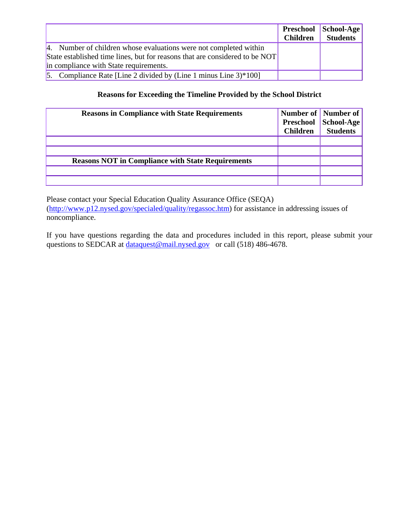|                                                                             |                 | <b>Preschool School-Age</b> |
|-----------------------------------------------------------------------------|-----------------|-----------------------------|
|                                                                             | <b>Children</b> | <b>Students</b>             |
| 4. Number of children whose evaluations were not completed within           |                 |                             |
| State established time lines, but for reasons that are considered to be NOT |                 |                             |
| in compliance with State requirements.                                      |                 |                             |
| 5. Compliance Rate [Line 2 divided by (Line 1 minus Line $3$ )*100]         |                 |                             |

# **Reasons for Exceeding the Timeline Provided by the School District**

| <b>Reasons in Compliance with State Requirements</b>     | <b>Children</b> | Number of Number of<br>Preschool School-Age<br><b>Students</b> |
|----------------------------------------------------------|-----------------|----------------------------------------------------------------|
|                                                          |                 |                                                                |
|                                                          |                 |                                                                |
| <b>Reasons NOT in Compliance with State Requirements</b> |                 |                                                                |
|                                                          |                 |                                                                |
|                                                          |                 |                                                                |

Please contact your Special Education Quality Assurance Office (SEQA) (http://www.p12.nysed.gov/specialed/quality/regassoc.htm) for assistance in addressing issues of noncompliance.

If you have questions regarding the data and procedures included in this report, please submit your questions to SEDCAR at dataquest@mail.nysed.gov or call (518) 486-4678.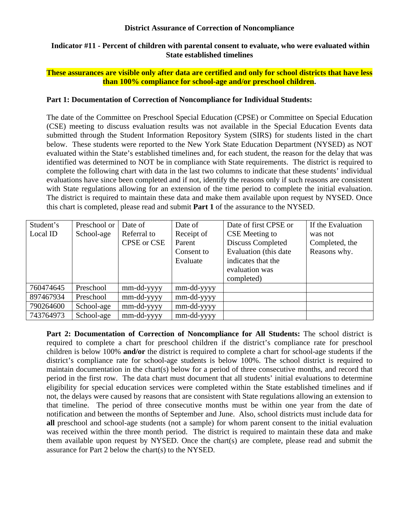#### **District Assurance of Correction of Noncompliance**

#### **Indicator #11 - Percent of children with parental consent to evaluate, who were evaluated within State established timelines**

## **These assurances are visible only after data are certified and only for school districts that have less than 100% compliance for school-age and/or preschool children.**

## **Part 1: Documentation of Correction of Noncompliance for Individual Students:**

The date of the Committee on Preschool Special Education (CPSE) or Committee on Special Education (CSE) meeting to discuss evaluation results was not available in the Special Education Events data submitted through the Student Information Repository System (SIRS) for students listed in the chart below. These students were reported to the New York State Education Department (NYSED) as NOT evaluated within the State's established timelines and, for each student, the reason for the delay that was identified was determined to NOT be in compliance with State requirements. The district is required to complete the following chart with data in the last two columns to indicate that these students' individual evaluations have since been completed and if not, identify the reasons only if such reasons are consistent with State regulations allowing for an extension of the time period to complete the initial evaluation. The district is required to maintain these data and make them available upon request by NYSED. Once this chart is completed, please read and submit **Part 1** of the assurance to the NYSED.

| Student's | Preschool or | Date of            | Date of    | Date of first CPSE or  | If the Evaluation |
|-----------|--------------|--------------------|------------|------------------------|-------------------|
| Local ID  | School-age   | Referral to        | Receipt of | CSE Meeting to         | was not           |
|           |              | <b>CPSE</b> or CSE | Parent     | Discuss Completed      | Completed, the    |
|           |              |                    | Consent to | Evaluation (this date) | Reasons why.      |
|           |              |                    | Evaluate   | indicates that the     |                   |
|           |              |                    |            | evaluation was         |                   |
|           |              |                    |            | completed)             |                   |
| 760474645 | Preschool    | mm-dd-yyyy         | mm-dd-yyyy |                        |                   |
| 897467934 | Preschool    | mm-dd-yyyy         | mm-dd-yyyy |                        |                   |
| 790264600 | School-age   | mm-dd-yyyy         | mm-dd-yyyy |                        |                   |
| 743764973 | School-age   | mm-dd-yyyy         | mm-dd-yyyy |                        |                   |

**Part 2: Documentation of Correction of Noncompliance for All Students:** The school district is required to complete a chart for preschool children if the district's compliance rate for preschool children is below 100% **and/or** the district is required to complete a chart for school-age students if the district's compliance rate for school-age students is below 100%. The school district is required to maintain documentation in the chart(s) below for a period of three consecutive months, and record that period in the first row. The data chart must document that all students' initial evaluations to determine eligibility for special education services were completed within the State established timelines and if not, the delays were caused by reasons that are consistent with State regulations allowing an extension to that timeline. The period of three consecutive months must be within one year from the date of notification and between the months of September and June. Also, school districts must include data for **all** preschool and school-age students (not a sample) for whom parent consent to the initial evaluation was received within the three month period. The district is required to maintain these data and make them available upon request by NYSED. Once the chart(s) are complete, please read and submit the assurance for Part 2 below the chart(s) to the NYSED.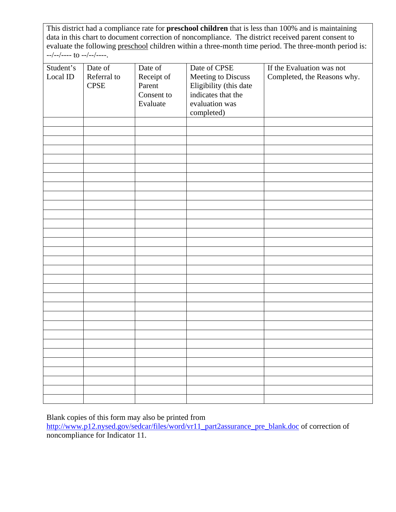This district had a compliance rate for **preschool children** that is less than 100% and is maintaining data in this chart to document correction of noncompliance. The district received parent consent to evaluate the following preschool children within a three-month time period. The three-month period is: --/--/---- to --/--/----.

| Student's | Date of     | Date of    | Date of CPSE           | If the Evaluation was not   |
|-----------|-------------|------------|------------------------|-----------------------------|
| Local ID  | Referral to | Receipt of | Meeting to Discuss     | Completed, the Reasons why. |
|           | <b>CPSE</b> | Parent     | Eligibility (this date |                             |
|           |             | Consent to | indicates that the     |                             |
|           |             | Evaluate   | evaluation was         |                             |
|           |             |            |                        |                             |
|           |             |            | completed)             |                             |
|           |             |            |                        |                             |
|           |             |            |                        |                             |
|           |             |            |                        |                             |
|           |             |            |                        |                             |
|           |             |            |                        |                             |
|           |             |            |                        |                             |
|           |             |            |                        |                             |
|           |             |            |                        |                             |
|           |             |            |                        |                             |
|           |             |            |                        |                             |
|           |             |            |                        |                             |
|           |             |            |                        |                             |
|           |             |            |                        |                             |
|           |             |            |                        |                             |
|           |             |            |                        |                             |
|           |             |            |                        |                             |
|           |             |            |                        |                             |
|           |             |            |                        |                             |
|           |             |            |                        |                             |
|           |             |            |                        |                             |
|           |             |            |                        |                             |
|           |             |            |                        |                             |
|           |             |            |                        |                             |
|           |             |            |                        |                             |
|           |             |            |                        |                             |
|           |             |            |                        |                             |
|           |             |            |                        |                             |
|           |             |            |                        |                             |
|           |             |            |                        |                             |
|           |             |            |                        |                             |

Blank copies of this form may also be printed from

http://www.p12.nysed.gov/sedcar/files/word/vr11\_part2assurance\_pre\_blank.doc of correction of noncompliance for Indicator 11.